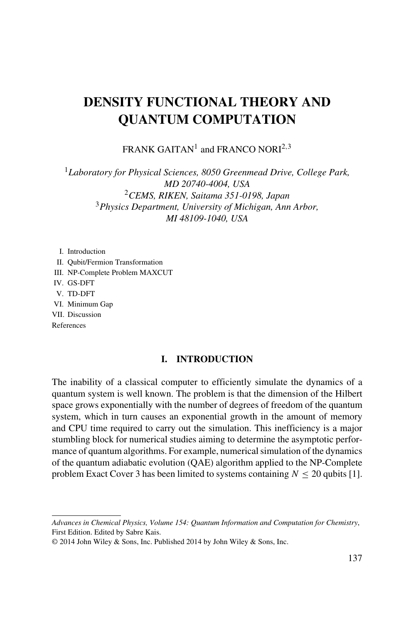# **DENSITY FUNCTIONAL THEORY AND QUANTUM COMPUTATION**

FRANK GAITAN<sup>1</sup> and FRANCO NORI<sup>2,3</sup>

<sup>1</sup>*Laboratory for Physical Sciences, 8050 Greenmead Drive, College Park, MD 20740-4004, USA* <sup>2</sup>*CEMS, RIKEN, Saitama 351-0198, Japan* <sup>3</sup>*Physics Department, University of Michigan, Ann Arbor, MI 48109-1040, USA*

I. Introduction II. Qubit/Fermion Transformation III. NP-Complete Problem MAXCUT IV. GS-DFT V. TD-DFT VI. Minimum Gap VII. Discussion References

# **I. INTRODUCTION**

The inability of a classical computer to efficiently simulate the dynamics of a quantum system is well known. The problem is that the dimension of the Hilbert space grows exponentially with the number of degrees of freedom of the quantum system, which in turn causes an exponential growth in the amount of memory and CPU time required to carry out the simulation. This inefficiency is a major stumbling block for numerical studies aiming to determine the asymptotic performance of quantum algorithms. For example, numerical simulation of the dynamics of the quantum adiabatic evolution (QAE) algorithm applied to the NP-Complete problem Exact Cover 3 has been limited to systems containing  $N < 20$  qubits [1].

*Advances in Chemical Physics, Volume 154: Quantum Information and Computation for Chemistry*, First Edition. Edited by Sabre Kais.

<sup>© 2014</sup> John Wiley & Sons, Inc. Published 2014 by John Wiley & Sons, Inc.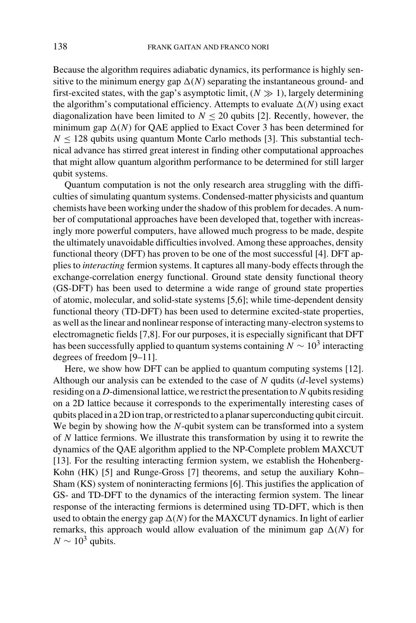Because the algorithm requires adiabatic dynamics, its performance is highly sensitive to the minimum energy gap  $\Delta(N)$  separating the instantaneous ground- and first-excited states, with the gap's asymptotic limit,  $(N \gg 1)$ , largely determining the algorithm's computational efficiency. Attempts to evaluate  $\Delta(N)$  using exact diagonalization have been limited to  $N \le 20$  qubits [2]. Recently, however, the minimum gap  $\Delta(N)$  for QAE applied to Exact Cover 3 has been determined for  $N \leq 128$  qubits using quantum Monte Carlo methods [3]. This substantial technical advance has stirred great interest in finding other computational approaches that might allow quantum algorithm performance to be determined for still larger qubit systems.

Quantum computation is not the only research area struggling with the difficulties of simulating quantum systems. Condensed-matter physicists and quantum chemists have been working under the shadow of this problem for decades. A number of computational approaches have been developed that, together with increasingly more powerful computers, have allowed much progress to be made, despite the ultimately unavoidable difficulties involved. Among these approaches, density functional theory (DFT) has proven to be one of the most successful [4]. DFT applies to *interacting* fermion systems. It captures all many-body effects through the exchange-correlation energy functional. Ground state density functional theory (GS-DFT) has been used to determine a wide range of ground state properties of atomic, molecular, and solid-state systems [5,6]; while time-dependent density functional theory (TD-DFT) has been used to determine excited-state properties, as well as the linear and nonlinear response of interacting many-electron systems to electromagnetic fields [7,8]. For our purposes, it is especially significant that DFT has been successfully applied to quantum systems containing  $N \sim 10^3$  interacting degrees of freedom [9–11].

Here, we show how DFT can be applied to quantum computing systems [12]. Although our analysis can be extended to the case of *N* qudits (*d*-level systems) residing on a *D*-dimensional lattice, we restrict the presentation to*N* qubits residing on a 2D lattice because it corresponds to the experimentally interesting cases of qubits placed in a 2D ion trap, or restricted to a planar superconducting qubit circuit. We begin by showing how the *N*-qubit system can be transformed into a system of *N* lattice fermions. We illustrate this transformation by using it to rewrite the dynamics of the QAE algorithm applied to the NP-Complete problem MAXCUT [13]. For the resulting interacting fermion system, we establish the Hohenberg-Kohn (HK) [5] and Runge-Gross [7] theorems, and setup the auxiliary Kohn– Sham (KS) system of noninteracting fermions [6]. This justifies the application of GS- and TD-DFT to the dynamics of the interacting fermion system. The linear response of the interacting fermions is determined using TD-DFT, which is then used to obtain the energy gap  $\Delta(N)$  for the MAXCUT dynamics. In light of earlier remarks, this approach would allow evaluation of the minimum gap  $\Delta(N)$  for  $N \sim 10^3$  qubits.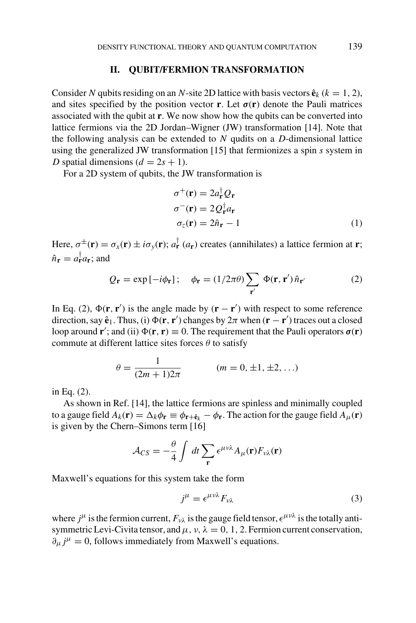#### **II. QUBIT/FERMION TRANSFORMATION**

Consider *N* qubits residing on an *N*-site 2D lattice with basis vectors  $\hat{\mathbf{e}}_k$  ( $k = 1, 2$ ), and sites specified by the position vector **r**. Let  $\sigma(\mathbf{r})$  denote the Pauli matrices associated with the qubit at **r**. We now show how the qubits can be converted into lattice fermions via the 2D Jordan–Wigner (JW) transformation [14]. Note that the following analysis can be extended to *N* qudits on a *D*-dimensional lattice using the generalized JW transformation [15] that fermionizes a spin *s* system in *D* spatial dimensions ( $d = 2s + 1$ ).

For a 2D system of qubits, the JW transformation is

$$
\sigma^+(\mathbf{r}) = 2a_\mathbf{r}^\dagger Q_\mathbf{r}
$$
  
\n
$$
\sigma^-(\mathbf{r}) = 2Q_\mathbf{r}^\dagger a_\mathbf{r}
$$
  
\n
$$
\sigma_z(\mathbf{r}) = 2\hat{n}_\mathbf{r} - 1
$$
\n(1)

Here,  $\sigma^{\pm}(\mathbf{r}) = \sigma_x(\mathbf{r}) \pm i\sigma_y(\mathbf{r})$ ;  $a_{\mathbf{r}}^{\dagger}(a_{\mathbf{r}})$  creates (annihilates) a lattice fermion at **r**;  $\hat{n}_{\bf r} = a_{\bf r}^{\dagger} a_{\bf r}$ ; and

$$
Q_{\mathbf{r}} = \exp\left[-i\phi_{\mathbf{r}}\right]; \quad \phi_{\mathbf{r}} = (1/2\pi\theta) \sum_{\mathbf{r}'} \Phi(\mathbf{r}, \mathbf{r}') \hat{n}_{\mathbf{r}'}
$$
 (2)

In Eq. (2),  $\Phi(\mathbf{r}, \mathbf{r}')$  is the angle made by  $(\mathbf{r} - \mathbf{r}')$  with respect to some reference direction, say  $\hat{\mathbf{e}}_1$ . Thus, (i)  $\Phi(\mathbf{r}, \mathbf{r}')$  changes by  $2\pi$  when  $(\mathbf{r} - \mathbf{r}')$  traces out a closed loop around **r**'; and (ii)  $\Phi(\mathbf{r}, \mathbf{r}) \equiv 0$ . The requirement that the Pauli operators  $\sigma(\mathbf{r})$ commute at different lattice sites forces *θ* to satisfy

$$
\theta = \frac{1}{(2m+1)2\pi} \qquad (m = 0, \pm 1, \pm 2, \ldots)
$$

in Eq. (2).

As shown in Ref. [14], the lattice fermions are spinless and minimally coupled to a gauge field  $A_k(\mathbf{r}) = \Delta_k \phi_{\mathbf{r}} \equiv \phi_{\mathbf{r}+\hat{\mathbf{e}}_k} - \phi_{\mathbf{r}}$ . The action for the gauge field  $A_\mu(\mathbf{r})$ is given by the Chern–Simons term [16]

$$
\mathcal{A}_{CS} = -\frac{\theta}{4} \int dt \sum_{\mathbf{r}} \epsilon^{\mu\nu\lambda} A_{\mu}(\mathbf{r}) F_{\nu\lambda}(\mathbf{r})
$$

Maxwell's equations for this system take the form

$$
j^{\mu} = \epsilon^{\mu\nu\lambda} F_{\nu\lambda} \tag{3}
$$

where  $j^{\mu}$  is the fermion current,  $F_{\nu\lambda}$  is the gauge field tensor,  $\epsilon^{\mu\nu\lambda}$  is the totally antisymmetric Levi-Civita tensor, and  $\mu$ ,  $\nu$ ,  $\lambda = 0, 1, 2$ . Fermion current conservation,  $\partial_\mu j^\mu = 0$ , follows immediately from Maxwell's equations.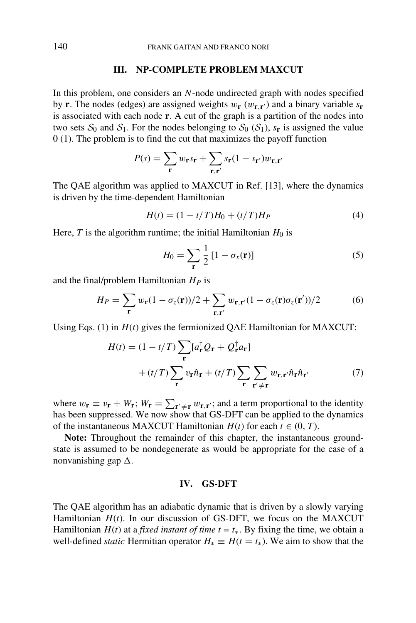### **III. NP-COMPLETE PROBLEM MAXCUT**

In this problem, one considers an *N*-node undirected graph with nodes specified by **r**. The nodes (edges) are assigned weights  $w_r$  ( $w_r$ <sub>**r**<sup>*r*</sup>)</sub> and a binary variable  $s_r$ is associated with each node **r**. A cut of the graph is a partition of the nodes into two sets  $S_0$  and  $S_1$ . For the nodes belonging to  $S_0$  ( $S_1$ ),  $s_r$  is assigned the value 0 (1). The problem is to find the cut that maximizes the payoff function

$$
P(s) = \sum_{\mathbf{r}} w_{\mathbf{r}} s_{\mathbf{r}} + \sum_{\mathbf{r}, \mathbf{r}'} s_{\mathbf{r}} (1 - s_{\mathbf{r}'}) w_{\mathbf{r}, \mathbf{r}'}
$$

The QAE algorithm was applied to MAXCUT in Ref. [13], where the dynamics is driven by the time-dependent Hamiltonian

$$
H(t) = (1 - t/T)H_0 + (t/T)H_P
$$
\n(4)

Here,  $T$  is the algorithm runtime; the initial Hamiltonian  $H_0$  is

$$
H_0 = \sum_{\mathbf{r}} \frac{1}{2} \left[ 1 - \sigma_x(\mathbf{r}) \right] \tag{5}
$$

and the final/problem Hamiltonian  $H_P$  is

$$
H_P = \sum_{\mathbf{r}} w_{\mathbf{r}} (1 - \sigma_z(\mathbf{r})) / 2 + \sum_{\mathbf{r}, \mathbf{r}'} w_{\mathbf{r}, \mathbf{r}'} (1 - \sigma_z(\mathbf{r}) \sigma_z(\mathbf{r}')) / 2 \tag{6}
$$

Using Eqs. (1) in *H*(*t*) gives the fermionized QAE Hamiltonian for MAXCUT:

$$
H(t) = (1 - t/T) \sum_{\mathbf{r}} [a_{\mathbf{r}}^{\dagger} Q_{\mathbf{r}} + Q_{\mathbf{r}}^{\dagger} a_{\mathbf{r}}] + (t/T) \sum_{\mathbf{r}} v_{\mathbf{r}} \hat{n}_{\mathbf{r}} + (t/T) \sum_{\mathbf{r}} \sum_{\mathbf{r'} \neq \mathbf{r}} w_{\mathbf{r}, \mathbf{r'}} \hat{n}_{\mathbf{r}} \hat{n}_{\mathbf{r'}} \tag{7}
$$

where  $w_r \equiv v_r + W_r$ ;  $W_r = \sum_{r' \neq r} w_{r,r'}$ ; and a term proportional to the identity has been suppressed. We now show that GS-DFT can be applied to the dynamics of the instantaneous MAXCUT Hamiltonian  $H(t)$  for each  $t \in (0, T)$ .

**Note:** Throughout the remainder of this chapter, the instantaneous groundstate is assumed to be nondegenerate as would be appropriate for the case of a nonvanishing gap  $\Delta$ .

## **IV. GS-DFT**

The QAE algorithm has an adiabatic dynamic that is driven by a slowly varying Hamiltonian  $H(t)$ . In our discussion of GS-DFT, we focus on the MAXCUT Hamiltonian  $H(t)$  at a *fixed instant of time t* =  $t_{*}$ . By fixing the time, we obtain a well-defined *static* Hermitian operator  $H_* \equiv H(t = t_*)$ . We aim to show that the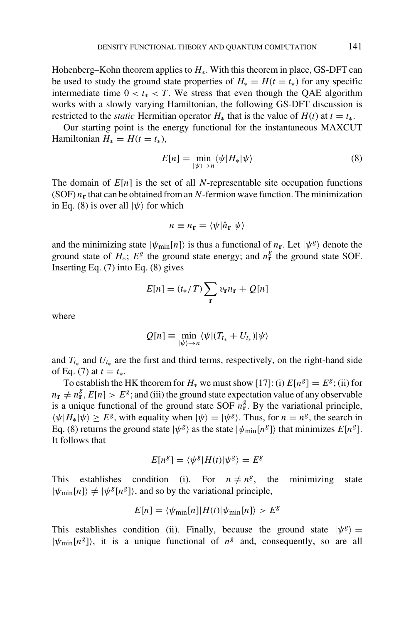Hohenberg–Kohn theorem applies to  $H_*$ . With this theorem in place, GS-DFT can be used to study the ground state properties of  $H_* = H(t = t_*)$  for any specific intermediate time  $0 < t_* < T$ . We stress that even though the QAE algorithm works with a slowly varying Hamiltonian, the following GS-DFT discussion is restricted to the *static* Hermitian operator  $H_*$  that is the value of  $H(t)$  at  $t = t_*$ .

Our starting point is the energy functional for the instantaneous MAXCUT Hamiltonian  $H_* = H(t = t_*)$ ,

$$
E[n] = \min_{|\psi\rangle \to n} \langle \psi | H_* | \psi \rangle \tag{8}
$$

The domain of  $E[n]$  is the set of all *N*-representable site occupation functions (SOF)  $n_r$  that can be obtained from an N-fermion wave function. The minimization in Eq. (8) is over all  $|\psi\rangle$  for which

$$
n \equiv n_{\bf r} = \langle \psi | \hat{n}_{\bf r} | \psi \rangle
$$

and the minimizing state  $|\psi_{\text{min}}[n]\rangle$  is thus a functional of  $n_{\text{r}}$ . Let  $|\psi^g\rangle$  denote the ground state of  $H_*$ ;  $E^g$  the ground state energy; and  $n_f^g$  the ground state SOF. Inserting Eq.  $(7)$  into Eq.  $(8)$  gives

$$
E[n] = (t_*/T) \sum_{\mathbf{r}} v_{\mathbf{r}} n_{\mathbf{r}} + Q[n]
$$

where

$$
Q[n] \equiv \min_{|\psi\rangle \to n} \langle \psi | (T_{t_*} + U_{t_*}) | \psi \rangle
$$

and  $T_{t*}$  and  $U_{t*}$  are the first and third terms, respectively, on the right-hand side of Eq. (7) at  $t = t_*$ .

To establish the HK theorem for  $H_*$  we must show [17]: (i)  $E[n^g] = E^g$ ; (ii) for  $n_{\bf r} \neq n_{\bf r}^g$ ,  $E[n] > E^g$ ; and (iii) the ground state expectation value of any observable is a unique functional of the ground state SOF  $n_F^g$ . By the variational principle,  $\langle \psi | H_{*} | \psi \rangle \ge E^{g}$ , with equality when  $|\psi\rangle = |\psi^{g}\rangle$ . Thus, for  $n = n^{g}$ , the search in Eq. (8) returns the ground state  $|\psi^g\rangle$  as the state  $|\psi_{\text{min}}[n^g\rangle$  that minimizes  $E[n^g]$ . It follows that

$$
E[n^g] = \langle \psi^g | H(t) | \psi^g \rangle = E^g
$$

This establishes condition (i). For  $n \neq n^g$ , the minimizing state  $|\psi_{\min}[n]\rangle \neq |\psi^g[n^g]\rangle$ , and so by the variational principle,

$$
E[n] = \langle \psi_{\min}[n]|H(t)|\psi_{\min}[n]\rangle > E^g
$$

This establishes condition (ii). Finally, because the ground state  $|\psi^g\rangle =$  $|\psi_{\text{min}}[n^g]\rangle$ , it is a unique functional of  $n^g$  and, consequently, so are all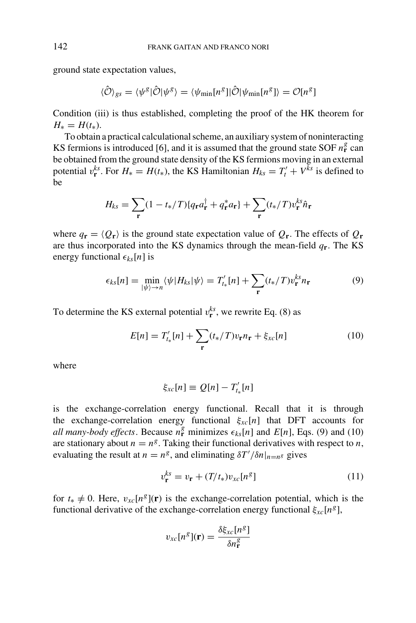ground state expectation values,

$$
\langle \hat{\mathcal{O}} \rangle_{gs} = \langle \psi^g | \hat{\mathcal{O}} | \psi^g \rangle = \langle \psi_{\min}[n^g] | \hat{\mathcal{O}} | \psi_{\min}[n^g] \rangle = \mathcal{O}[n^g]
$$

Condition (iii) is thus established, completing the proof of the HK theorem for  $H_* = H(t_*)$ .

To obtain a practical calculational scheme, an auxiliary system of noninteracting KS fermions is introduced [6], and it is assumed that the ground state SOF  $n_f^g$  can be obtained from the ground state density of the KS fermions moving in an external potential  $v_{\mathbf{r}}^{ks}$ . For  $H_* = H(t_*)$ , the KS Hamiltonian  $H_{ks} = T'_t + V^{ks}$  is defined to be

$$
H_{ks} = \sum_{\mathbf{r}} (1 - t_{*}/T) \{ q_{\mathbf{r}} a_{\mathbf{r}}^{\dagger} + q_{\mathbf{r}}^{*} a_{\mathbf{r}} \} + \sum_{\mathbf{r}} (t_{*}/T) v_{\mathbf{r}}^{ks} \hat{n}_{\mathbf{r}}
$$

where  $q_{\bf r} = \langle Q_{\bf r} \rangle$  is the ground state expectation value of  $Q_{\bf r}$ . The effects of  $Q_{\bf r}$ are thus incorporated into the KS dynamics through the mean-field *q***r**. The KS energy functional  $\epsilon_{ks}[n]$  is

$$
\epsilon_{ks}[n] = \min_{|\psi\rangle \to n} \langle \psi | H_{ks} | \psi \rangle = T'_{t_*}[n] + \sum_{\mathbf{r}} (t_*/T) v_{\mathbf{r}}^{ks} n_{\mathbf{r}} \tag{9}
$$

To determine the KS external potential  $v_{\mathbf{r}}^{ks}$ , we rewrite Eq. (8) as

$$
E[n] = T'_{t_*}[n] + \sum_{\mathbf{r}} (t_*/T)v_{\mathbf{r}}n_{\mathbf{r}} + \xi_{xc}[n] \tag{10}
$$

where

$$
\xi_{xc}[n] \equiv Q[n] - T'_{t_*}[n]
$$

is the exchange-correlation energy functional. Recall that it is through the exchange-correlation energy functional *ξxc*[*n*] that DFT accounts for *all many-body effects*. Because  $n_{\rm F}^g$  minimizes  $\epsilon_{ks}[n]$  and  $E[n]$ , Eqs. (9) and (10) are stationary about  $n = n<sup>g</sup>$ . Taking their functional derivatives with respect to *n*, evaluating the result at  $n = n^g$ , and eliminating  $\frac{\delta T'}{\delta n}|_{n=n^g}$  gives

$$
v_{\mathbf{r}}^{ks} = v_{\mathbf{r}} + (T/t_*)v_{xc}[n^g]
$$
 (11)

for  $t_* \neq 0$ . Here,  $v_{xc}[n^g](\mathbf{r})$  is the exchange-correlation potential, which is the functional derivative of the exchange-correlation energy functional  $\xi_{xc}[n^g]$ ,

$$
v_{xc}[n^g](\mathbf{r}) = \frac{\delta \xi_{xc}[n^g]}{\delta n_{\mathbf{r}}^g}
$$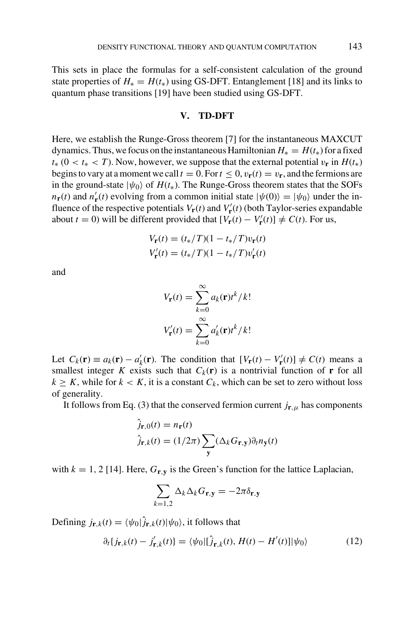This sets in place the formulas for a self-consistent calculation of the ground state properties of  $H_* = H(t_*)$  using GS-DFT. Entanglement [18] and its links to quantum phase transitions [19] have been studied using GS-DFT.

## **V. TD-DFT**

Here, we establish the Runge-Gross theorem [7] for the instantaneous MAXCUT dynamics. Thus, we focus on the instantaneous Hamiltonian  $H_* = H(t_*)$  for a fixed  $t_*(0 < t_*(T)$ . Now, however, we suppose that the external potential  $v_r$  in  $H(t_*)$ begins to vary at a moment we call  $t = 0$ . For  $t \le 0$ ,  $v_{\bf r}(t) = v_{\bf r}$ , and the fermions are in the ground-state  $|\psi_0\rangle$  of  $H(t_*)$ . The Runge-Gross theorem states that the SOFs  $n_{\bf r}(t)$  and  $n'_{\bf r}(t)$  evolving from a common initial state  $|\psi(0)\rangle = |\psi_0\rangle$  under the influence of the respective potentials  $V_{\bf r}(t)$  and  $V'_{\bf r}(t)$  (both Taylor-series expandable about *t* = 0) will be different provided that  $[V_{\bf r}(t) - V_{\bf r}'(t)] \neq C(t)$ . For us,

$$
V_{\mathbf{r}}(t) = (t_*/T)(1 - t_*/T)v_{\mathbf{r}}(t)
$$
  

$$
V'_{\mathbf{r}}(t) = (t_*/T)(1 - t_*/T)v'_{\mathbf{r}}(t)
$$

and

$$
V_{\mathbf{r}}(t) = \sum_{k=0}^{\infty} a_k(\mathbf{r})t^k / k!
$$

$$
V'_{\mathbf{r}}(t) = \sum_{k=0}^{\infty} a'_k(\mathbf{r})t^k / k!
$$

Let  $C_k(\mathbf{r}) \equiv a_k(\mathbf{r}) - a'_k(\mathbf{r})$ . The condition that  $[V_{\mathbf{r}}(t) - V_{\mathbf{r}}'(t)] \neq C(t)$  means a smallest integer *K* exists such that  $C_k(\mathbf{r})$  is a nontrivial function of **r** for all  $k \geq K$ , while for  $k < K$ , it is a constant  $C_k$ , which can be set to zero without loss of generality.

It follows from Eq. (3) that the conserved fermion current  $j_{\mathbf{r},\mu}$  has components

$$
\hat{j}_{\mathbf{r},0}(t) = n_{\mathbf{r}}(t)
$$
\n
$$
\hat{j}_{\mathbf{r},k}(t) = (1/2\pi) \sum_{\mathbf{y}} (\Delta_k G_{\mathbf{r},\mathbf{y}}) \partial_t n_{\mathbf{y}}(t)
$$

with  $k = 1, 2$  [14]. Here,  $G_{\mathbf{r},\mathbf{v}}$  is the Green's function for the lattice Laplacian,

$$
\sum_{k=1,2} \Delta_k \Delta_k G_{\mathbf{r},\mathbf{y}} = -2\pi \delta_{\mathbf{r},\mathbf{y}}
$$

Defining  $j_{\mathbf{r},k}(t) = \langle \psi_0 | \hat{j}_{\mathbf{r},k}(t) | \psi_0 \rangle$ , it follows that

$$
\partial_t \{ j_{\mathbf{r},k}(t) - j'_{\mathbf{r},k}(t) \} = \langle \psi_0 | [\hat{j}_{\mathbf{r},k}(t), H(t) - H'(t)] | \psi_0 \rangle \tag{12}
$$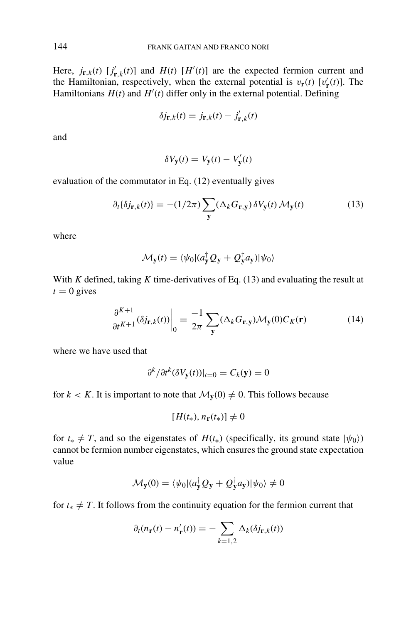Here,  $j_{\mathbf{r},k}(t)$  [ $j'_{\mathbf{r},k}(t)$ ] and  $H(t)$  [ $H'(t)$ ] are the expected fermion current and the Hamiltonian, respectively, when the external potential is  $v_{\bf r}(t)$  [ $v'_{\bf r}(t)$ ]. The Hamiltonians  $H(t)$  and  $H'(t)$  differ only in the external potential. Defining

$$
\delta j_{\mathbf{r},k}(t) = j_{\mathbf{r},k}(t) - j'_{\mathbf{r},k}(t)
$$

and

$$
\delta V_{\mathbf{y}}(t) = V_{\mathbf{y}}(t) - V_{\mathbf{y}}'(t)
$$

evaluation of the commutator in Eq. (12) eventually gives

$$
\partial_t \{\delta j_{\mathbf{r},k}(t)\} = -(1/2\pi) \sum_{\mathbf{y}} (\Delta_k G_{\mathbf{r},\mathbf{y}}) \delta V_{\mathbf{y}}(t) \mathcal{M}_{\mathbf{y}}(t)
$$
(13)

where

$$
\mathcal{M}_{\mathbf{y}}(t) = \langle \psi_0 | (a_{\mathbf{y}}^{\dagger} \mathcal{Q}_{\mathbf{y}} + \mathcal{Q}_{\mathbf{y}}^{\dagger} a_{\mathbf{y}}) | \psi_0 \rangle
$$

With *K* defined, taking *K* time-derivatives of Eq. (13) and evaluating the result at  $t = 0$  gives

$$
\left. \frac{\partial^{K+1}}{\partial t^{K+1}} (\delta j_{\mathbf{r},k}(t)) \right|_0 = \frac{-1}{2\pi} \sum_{\mathbf{y}} (\Delta_k G_{\mathbf{r},\mathbf{y}}) \mathcal{M}_{\mathbf{y}}(0) C_K(\mathbf{r}) \tag{14}
$$

where we have used that

$$
\partial^k/\partial t^k(\delta V_{\mathbf{y}}(t))|_{t=0} = C_k(\mathbf{y}) = 0
$$

for  $k < K$ . It is important to note that  $\mathcal{M}_{\mathbf{v}}(0) \neq 0$ . This follows because

$$
[H(t_*), n_{\mathbf{r}}(t_*)] \neq 0
$$

for  $t_* \neq T$ , and so the eigenstates of  $H(t_*)$  (specifically, its ground state  $|\psi_0\rangle$ ) cannot be fermion number eigenstates, which ensures the ground state expectation value

$$
\mathcal{M}_{\mathbf{y}}(0) = \langle \psi_0 | (a_{\mathbf{y}}^{\dagger} \mathcal{Q}_{\mathbf{y}} + \mathcal{Q}_{\mathbf{y}}^{\dagger} a_{\mathbf{y}}) | \psi_0 \rangle \neq 0
$$

for  $t_* \neq T$ . It follows from the continuity equation for the fermion current that

$$
\partial_t (n_{\mathbf{r}}(t) - n'_{\mathbf{r}}(t)) = - \sum_{k=1,2} \Delta_k(\delta j_{\mathbf{r},k}(t))
$$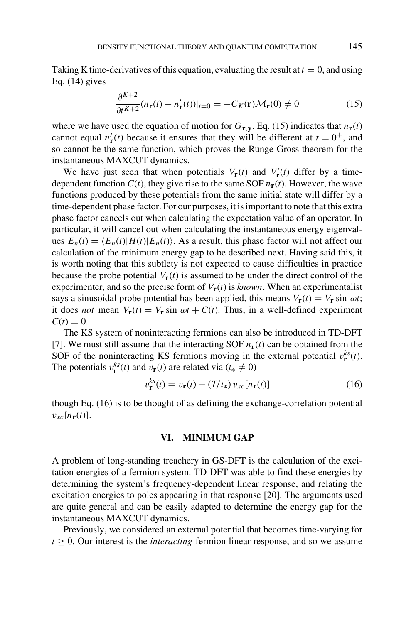Taking K time-derivatives of this equation, evaluating the result at  $t = 0$ , and using Eq. (14) gives

$$
\frac{\partial^{K+2}}{\partial t^{K+2}} (n_{\mathbf{r}}(t) - n'_{\mathbf{r}}(t))|_{t=0} = -C_K(\mathbf{r}) \mathcal{M}_{\mathbf{r}}(0) \neq 0
$$
\n(15)

where we have used the equation of motion for  $G_{\mathbf{r},\mathbf{v}}$ . Eq. (15) indicates that  $n_{\mathbf{r}}(t)$ cannot equal  $n'_{\bf r}(t)$  because it ensures that they will be different at  $t = 0^+$ , and so cannot be the same function, which proves the Runge-Gross theorem for the instantaneous MAXCUT dynamics.

We have just seen that when potentials  $V_{\bf r}(t)$  and  $V'_{\bf r}(t)$  differ by a timedependent function  $C(t)$ , they give rise to the same SOF  $n_r(t)$ . However, the wave functions produced by these potentials from the same initial state will differ by a time-dependent phase factor. For our purposes, it is important to note that this extra phase factor cancels out when calculating the expectation value of an operator. In particular, it will cancel out when calculating the instantaneous energy eigenvalues  $E_n(t) = \langle E_n(t) | H(t) | E_n(t) \rangle$ . As a result, this phase factor will not affect our calculation of the minimum energy gap to be described next. Having said this, it is worth noting that this subtlety is not expected to cause difficulties in practice because the probe potential  $V_{\bf r}(t)$  is assumed to be under the direct control of the experimenter, and so the precise form of  $V_{\bf r}(t)$  is *known*. When an experimentalist says a sinusoidal probe potential has been applied, this means  $V_{\bf r}(t) = V_{\bf r} \sin \omega t$ ; it does *not* mean  $V_{\bf r}(t) = V_{\bf r} \sin \omega t + C(t)$ . Thus, in a well-defined experiment  $C(t) = 0.$ 

The KS system of noninteracting fermions can also be introduced in TD-DFT [7]. We must still assume that the interacting SOF  $n_r(t)$  can be obtained from the SOF of the noninteracting KS fermions moving in the external potential  $v_{\mathbf{r}}^{ks}(t)$ . The potentials  $v_{\mathbf{r}}^{ks}(t)$  and  $v_{\mathbf{r}}(t)$  are related via ( $t_* \neq 0$ )

$$
v_{\mathbf{r}}^{ks}(t) = v_{\mathbf{r}}(t) + (T/t_*) v_{xc}[n_{\mathbf{r}}(t)]
$$
\n(16)

though Eq. (16) is to be thought of as defining the exchange-correlation potential  $v_{xc}[n_{r}(t)].$ 

#### **VI. MINIMUM GAP**

A problem of long-standing treachery in GS-DFT is the calculation of the excitation energies of a fermion system. TD-DFT was able to find these energies by determining the system's frequency-dependent linear response, and relating the excitation energies to poles appearing in that response [20]. The arguments used are quite general and can be easily adapted to determine the energy gap for the instantaneous MAXCUT dynamics.

Previously, we considered an external potential that becomes time-varying for  $t \geq 0$ . Our interest is the *interacting* fermion linear response, and so we assume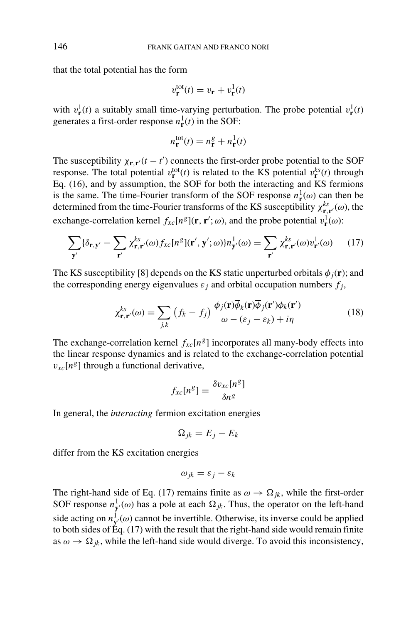that the total potential has the form

$$
v_{\mathbf{r}}^{\text{tot}}(t) = v_{\mathbf{r}} + v_{\mathbf{r}}^{\text{1}}(t)
$$

with  $v_{\mathbf{r}}^1(t)$  a suitably small time-varying perturbation. The probe potential  $v_{\mathbf{r}}^1(t)$ generates a first-order response  $n_{\mathbf{r}}^1(t)$  in the SOF:

$$
n_{\mathbf{r}}^{\text{tot}}(t) = n_{\mathbf{r}}^{g} + n_{\mathbf{r}}^{1}(t)
$$

The susceptibility  $\chi_{\mathbf{r},\mathbf{r}'}(t-t')$  connects the first-order probe potential to the SOF response. The total potential  $v_{\mathbf{r}}^{\text{tot}}(t)$  is related to the KS potential  $v_{\mathbf{r}}^{ks}(t)$  through Eq. (16), and by assumption, the SOF for both the interacting and KS fermions is the same. The time-Fourier transform of the SOF response  $n_{\mathbf{r}}^1(\omega)$  can then be determined from the time-Fourier transforms of the KS susceptibility *χks* **<sup>r</sup>***,***r**(*ω*), the exchange-correlation kernel  $f_{xc}[n^g](\mathbf{r}, \mathbf{r}'; \omega)$ , and the probe potential  $v_{\mathbf{r}}^1(\omega)$ :

$$
\sum_{\mathbf{y}'} \{\delta_{\mathbf{r},\mathbf{y}'} - \sum_{\mathbf{r}'} \chi_{\mathbf{r},\mathbf{r}'}^{ks}(\omega) f_{xc}[n^g](\mathbf{r}',\mathbf{y}';\omega) \} n_{\mathbf{y}'}^1(\omega) = \sum_{\mathbf{r}'} \chi_{\mathbf{r},\mathbf{r}'}^{ks}(\omega) v_{\mathbf{r}'}^1(\omega) \tag{17}
$$

The KS susceptibility [8] depends on the KS static unperturbed orbitals  $\phi_i(\mathbf{r})$ ; and the corresponding energy eigenvalues  $\varepsilon_j$  and orbital occupation numbers  $f_j$ ,

$$
\chi_{\mathbf{r},\mathbf{r}'}^{ks}(\omega) = \sum_{j,k} \left( f_k - f_j \right) \frac{\phi_j(\mathbf{r}) \overline{\phi}_k(\mathbf{r}) \overline{\phi}_j(\mathbf{r}') \phi_k(\mathbf{r}')}{\omega - (\varepsilon_j - \varepsilon_k) + i\eta} \tag{18}
$$

The exchange-correlation kernel  $f_{xc}[n^g]$  incorporates all many-body effects into the linear response dynamics and is related to the exchange-correlation potential  $v_{xc}[n^g]$  through a functional derivative,

$$
f_{xc}[n^g] = \frac{\delta v_{xc}[n^g]}{\delta n^g}
$$

In general, the *interacting* fermion excitation energies

$$
\Omega_{jk}=E_j-E_k
$$

differ from the KS excitation energies

$$
\omega_{jk} = \varepsilon_j - \varepsilon_k
$$

The right-hand side of Eq. (17) remains finite as  $\omega \to \Omega_{ik}$ , while the first-order SOF response  $n_{\mathbf{y}}^1(\omega)$  has a pole at each  $\Omega_{jk}$ . Thus, the operator on the left-hand side acting on  $n_{\mathbf{y}}^1(\omega)$  cannot be invertible. Otherwise, its inverse could be applied to both sides of  $Eq. (17)$  with the result that the right-hand side would remain finite as  $\omega \to \Omega_{jk}$ , while the left-hand side would diverge. To avoid this inconsistency,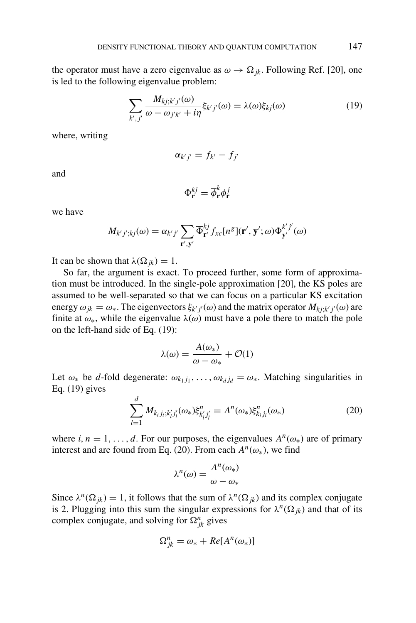the operator must have a zero eigenvalue as  $\omega \to \Omega_{ik}$ . Following Ref. [20], one is led to the following eigenvalue problem:

$$
\sum_{k',j'} \frac{M_{kj;k'j'}(\omega)}{\omega - \omega_{j'k'} + i\eta} \xi_{k'j'}(\omega) = \lambda(\omega)\xi_{kj}(\omega)
$$
\n(19)

where, writing

$$
\alpha_{k'j'}=f_{k'}-f_{j'}
$$

and

$$
\Phi_{\mathbf{r}}^{kj}=\overline{\phi}_{\mathbf{r}}^k\phi_{\mathbf{r}}^j
$$

we have

$$
M_{k'j';kj}(\omega) = \alpha_{k'j'} \sum_{\mathbf{r}',\mathbf{y}'} \overline{\Phi}_{\mathbf{r}'}^{kj} f_{xc}[n^g](\mathbf{r}',\mathbf{y}';\omega) \Phi_{\mathbf{y}'}^{k'j'}(\omega)
$$

It can be shown that  $\lambda(\Omega_{jk}) = 1$ .

So far, the argument is exact. To proceed further, some form of approximation must be introduced. In the single-pole approximation [20], the KS poles are assumed to be well-separated so that we can focus on a particular KS excitation energy  $\omega_{jk} = \omega_*$ . The eigenvectors  $\xi_{k'j'}(\omega)$  and the matrix operator  $M_{kj;k'j'}(\omega)$  are finite at  $\omega$ <sub>\*</sub>, while the eigenvalue  $\lambda(\omega)$  must have a pole there to match the pole on the left-hand side of Eq. (19):

$$
\lambda(\omega) = \frac{A(\omega_*)}{\omega - \omega_*} + \mathcal{O}(1)
$$

Let  $\omega_*$  be *d*-fold degenerate:  $\omega_{k_1j_1}, \ldots, \omega_{k_dj_d} = \omega_*$ . Matching singularities in Eq. (19) gives

$$
\sum_{l=1}^{d} M_{k_i j_i; k'_l j'_l}(\omega_*) \xi_{k'_l j'_l}^n = A^n(\omega_*) \xi_{k_i j_i}^n(\omega_*)
$$
\n(20)

where *i*,  $n = 1, \ldots, d$ . For our purposes, the eigenvalues  $A^n(\omega_*)$  are of primary interest and are found from Eq. (20). From each  $A^n(\omega_*)$ , we find

$$
\lambda^{n}(\omega) = \frac{A^{n}(\omega_{*})}{\omega - \omega_{*}}
$$

Since  $\lambda^n(\Omega_{ik}) = 1$ , it follows that the sum of  $\lambda^n(\Omega_{ik})$  and its complex conjugate is 2. Plugging into this sum the singular expressions for  $\lambda^n(\Omega_k)$  and that of its complex conjugate, and solving for  $\Omega_{jk}^{n}$  gives

$$
\Omega_{jk}^n = \omega_* + Re[A^n(\omega_*)]
$$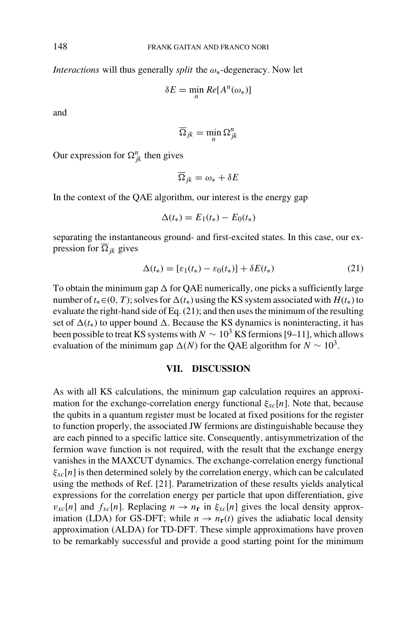*Interactions* will thus generally *split* the *ω*∗-degeneracy. Now let

$$
\delta E = \min_n Re[A^n(\omega_*)]
$$

and

$$
\overline{\Omega}_{jk} = \min_{n} \Omega_{jk}^{n}
$$

Our expression for  $\Omega_{jk}^{n}$  then gives

$$
\overline{\Omega}_{jk} = \omega_* + \delta E
$$

In the context of the QAE algorithm, our interest is the energy gap

$$
\Delta(t_*) = E_1(t_*) - E_0(t_*)
$$

separating the instantaneous ground- and first-excited states. In this case, our expression for  $\overline{\Omega}_{ik}$  gives

$$
\Delta(t_*) = [\varepsilon_1(t_*) - \varepsilon_0(t_*)] + \delta E(t_*)
$$
\n(21)

To obtain the minimum gap  $\Delta$  for QAE numerically, one picks a sufficiently large number of  $t_* \in (0, T)$ ; solves for  $\Delta(t_*)$  using the KS system associated with  $H(t_*)$  to evaluate the right-hand side of Eq. (21); and then uses the minimum of the resulting set of  $\Delta(t_*)$  to upper bound  $\Delta$ . Because the KS dynamics is noninteracting, it has been possible to treat KS systems with  $N \sim 10^3$  KS fermions [9–11], which allows evaluation of the minimum gap  $\Delta(N)$  for the QAE algorithm for  $N \sim 10^3$ .

## **VII. DISCUSSION**

As with all KS calculations, the minimum gap calculation requires an approximation for the exchange-correlation energy functional  $\xi_{xc}[n]$ . Note that, because the qubits in a quantum register must be located at fixed positions for the register to function properly, the associated JW fermions are distinguishable because they are each pinned to a specific lattice site. Consequently, antisymmetrization of the fermion wave function is not required, with the result that the exchange energy vanishes in the MAXCUT dynamics. The exchange-correlation energy functional *ξxc*[*n*] is then determined solely by the correlation energy, which can be calculated using the methods of Ref. [21]. Parametrization of these results yields analytical expressions for the correlation energy per particle that upon differentiation, give  $v_{xc}[n]$  and  $f_{xc}[n]$ . Replacing  $n \rightarrow n_r$  in  $\xi_{xc}[n]$  gives the local density approximation (LDA) for GS-DFT; while  $n \to n_{r}(t)$  gives the adiabatic local density approximation (ALDA) for TD-DFT. These simple approximations have proven to be remarkably successful and provide a good starting point for the minimum